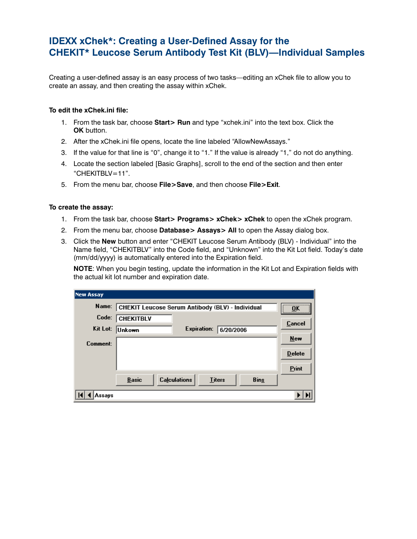## **IDEXX xChek\*: Creating a User-Defined Assay for the CHEKIT\* Leucose Serum Antibody Test Kit (BLV)—Individual Samples**

Creating a user-defined assay is an easy process of two tasks—editing an xChek file to allow you to create an assay, and then creating the assay within xChek.

## **To edit the xChek.ini file:**

- 1. From the task bar, choose **Start> Run** and type "xchek.ini" into the text box. Click the **OK** button.
- 2. After the xChek.ini file opens, locate the line labeled "AllowNewAssays."
- 3. If the value for that line is "0", change it to "1." If the value is already "1," do not do anything.
- 4. Locate the section labeled [Basic Graphs], scroll to the end of the section and then enter "CHEKITBLV=11".
- 5. From the menu bar, choose **File>Save**, and then choose **File>Exit**.

## **To create the assay:**

- 1. From the task bar, choose **Start> Programs> xChek> xChek** to open the xChek program.
- 2. From the menu bar, choose **Database> Assays> All** to open the Assay dialog box.
- 3. Click the **New** button and enter "CHEKIT Leucose Serum Antibody (BLV) Individual" into the Name field, "CHEKITBLV" into the Code field, and "Unknown" into the Kit Lot field. Today's date (mm/dd/yyyy) is automatically entered into the Expiration field.

**NOTE:** When you begin testing, update the information in the Kit Lot and Expiration fields with the actual kit lot number and expiration date.

| New Assay |                                                  |                    |               |             |               |
|-----------|--------------------------------------------------|--------------------|---------------|-------------|---------------|
| Name:     | CHEKIT Leucose Serum Antibody (BLV) - Individual | <br>ΠK             |               |             |               |
| Code:     | <b>CHEKITBLV</b>                                 |                    |               |             | <br>Cancel    |
| Kit Lot:  | <b>Unkown</b>                                    | <b>Expiration:</b> | 6/20/2006     |             |               |
| Comment:  |                                                  |                    |               |             | New           |
|           |                                                  |                    |               |             | <b>Delete</b> |
|           |                                                  |                    |               |             | Print         |
|           | <b>Calculations</b><br><b>Basic</b>              |                    | <b>Titers</b> | <b>Bins</b> |               |
| Assays    |                                                  |                    |               |             |               |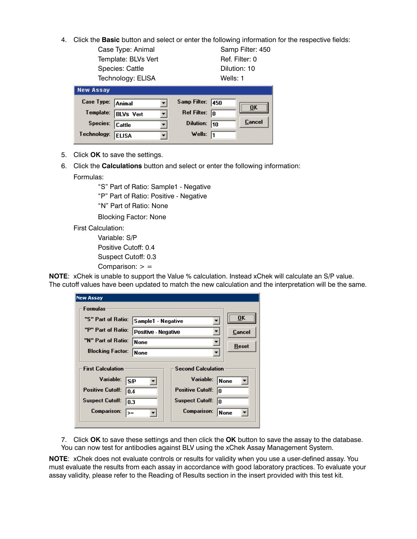- 4. Click the **Basic** button and select or enter the following information for the respective fields:
	- Case Type: Animal Samp Filter: 450 Template: BLVs Vert Ref. Filter: 0 Species: Cattle **Dilution: 10** Technology: ELISA Wells: 1

| <b>New Assay</b>  |                  |                         |      |        |
|-------------------|------------------|-------------------------|------|--------|
| Case Type: Animal |                  | Samp Filter:            | 1450 | OK     |
| Template:         | <b>BLVs Vert</b> | Ref Filter: $\boxed{0}$ |      |        |
| Species:          | Cattle           | Dilution:               | 110  | Cancel |
| Technology:       | <b>ELISA</b>     | Wells: $\sqrt{1}$       |      |        |

- 5. Click **OK** to save the settings.
- 6. Click the **Calculations** button and select or enter the following information: Formulas:

"S" Part of Ratio: Sample1 - Negative

"P" Part of Ratio: Positive - Negative

"N" Part of Ratio: None

Blocking Factor: None

First Calculation:

 Variable: S/P Positive Cutoff: 0.4 Suspect Cutoff: 0.3 Comparison:  $>$  =

**NOTE**: xChek is unable to support the Value % calculation. Instead xChek will calculate an S/P value. The cutoff values have been updated to match the new calculation and the interpretation will be the same.

| <b>New Assay</b>                                                                                                                             |                            |                                                                                                                        |                     |
|----------------------------------------------------------------------------------------------------------------------------------------------|----------------------------|------------------------------------------------------------------------------------------------------------------------|---------------------|
| Formulas                                                                                                                                     |                            |                                                                                                                        |                     |
| "S" Part of Ratio:                                                                                                                           | Sample1 - Negative         | OK                                                                                                                     |                     |
| "P" Part of Ratio:                                                                                                                           | <b>Positive - Negative</b> | Cancel                                                                                                                 |                     |
| "N" Part of Ratio:                                                                                                                           | <b>None</b><br>▼           |                                                                                                                        | Reset               |
| <b>Blocking Factor:</b>                                                                                                                      | <b>None</b>                |                                                                                                                        |                     |
| <b>First Calculation</b><br>Variable:<br><b>SP</b><br><b>Positive Cutoff:</b><br>0.4<br><b>Suspect Cutoff:</b><br>0.3<br>Comparison:<br>$>=$ |                            | <b>Second Calculation</b><br>Variable:<br><b>Positive Cutoff:</b><br>10<br><b>Suspect Cutoff:</b><br>In<br>Comparison: | <b>None</b><br>None |

7. Click **OK** to save these settings and then click the **OK** button to save the assay to the database. You can now test for antibodies against BLV using the xChek Assay Management System.

**NOTE**: xChek does not evaluate controls or results for validity when you use a user-defined assay. You must evaluate the results from each assay in accordance with good laboratory practices. To evaluate your assay validity, please refer to the Reading of Results section in the insert provided with this test kit.